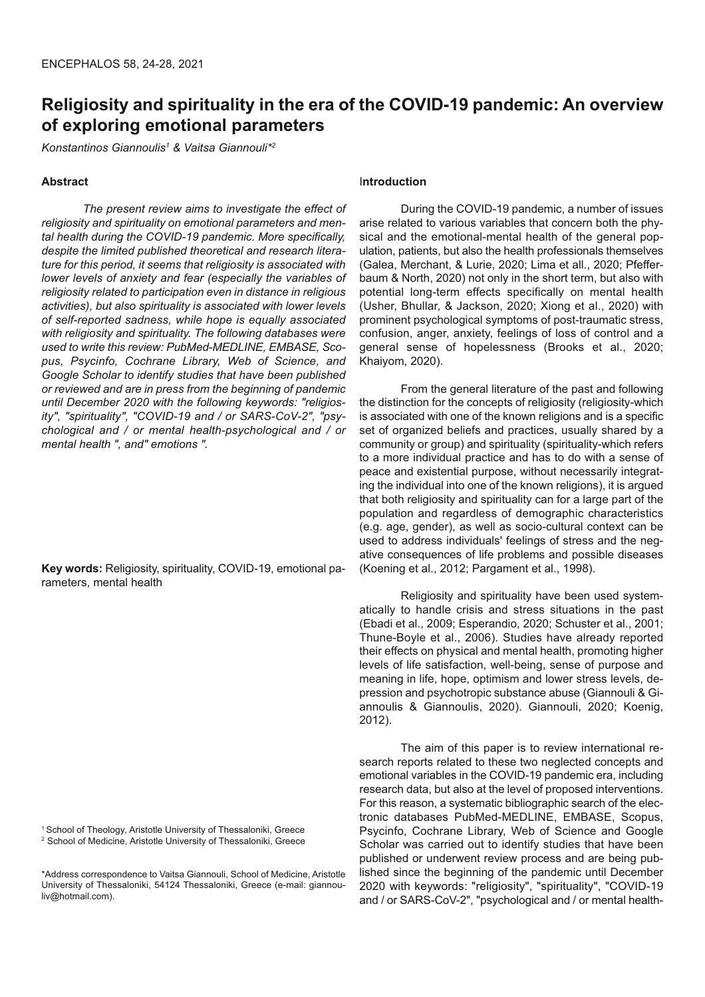# **Religiosity and spirituality in the era of the COVID-19 pandemic: An overview of exploring emotional parameters**

*Konstantinos Giannoulis<sup>1</sup> & Vaitsa Giannouli\*2*

## **Abstract**

*The present review aims to investigate the effect of religiosity and spirituality on emotional parameters and mental health during the COVID-19 pandemic. More specifically, despite the limited published theoretical and research literature for this period, it seems that religiosity is associated with lower levels of anxiety and fear (especially the variables of religiosity related to participation even in distance in religious activities), but also spirituality is associated with lower levels of self-reported sadness, while hope is equally associated with religiosity and spirituality. The following databases were used to write this review: PubMed-MEDLINE, EMBASE, Scopus, Psycinfo, Cochrane Library, Web of Science, and Google Scholar to identify studies that have been published or reviewed and are in press from the beginning of pandemic until December 2020 with the following keywords: "religiosity", "spirituality", "COVID-19 and / or SARS-CoV-2", "psychological and / or mental health-psychological and / or mental health ", and" emotions ".* 

**Key words:** Religiosity, spirituality, COVID-19, emotional parameters, mental health

<sup>1</sup> School of Theology, Aristotle University of Thessaloniki, Greece 2 School of Medicine, Aristotle University of Thessaloniki, Greece

\*Address correspondence to Vaitsa Giannouli, School of Medicine, Aristotle University of Thessaloniki, 54124 Thessaloniki, Greece (e-mail: giannouliv@hotmail.com).

## I**ntroduction**

During the COVID-19 pandemic, a number of issues arise related to various variables that concern both the physical and the emotional-mental health of the general population, patients, but also the health professionals themselves (Galea, Merchant, & Lurie, 2020; Lima et all., 2020; Pfefferbaum & North, 2020) not only in the short term, but also with potential long-term effects specifically on mental health (Usher, Bhullar, & Jackson, 2020; Xiong et al., 2020) with prominent psychological symptoms of post-traumatic stress, confusion, anger, anxiety, feelings of loss of control and a general sense of hopelessness (Brooks et al., 2020; Khaiyom, 2020).

From the general literature of the past and following the distinction for the concepts of religiosity (religiosity-which is associated with one of the known religions and is a specific set of organized beliefs and practices, usually shared by a community or group) and spirituality (spirituality-which refers to a more individual practice and has to do with a sense of peace and existential purpose, without necessarily integrating the individual into one of the known religions), it is argued that both religiosity and spirituality can for a large part of the population and regardless of demographic characteristics (e.g. age, gender), as well as socio-cultural context can be used to address individuals' feelings of stress and the negative consequences of life problems and possible diseases (Koening et al., 2012; Pargament et al., 1998).

Religiosity and spirituality have been used systematically to handle crisis and stress situations in the past (Ebadi et al., 2009; Esperandio, 2020; Schuster et al., 2001; Thune-Boyle et al., 2006). Studies have already reported their effects on physical and mental health, promoting higher levels of life satisfaction, well-being, sense of purpose and meaning in life, hope, optimism and lower stress levels, depression and psychotropic substance abuse (Giannouli & Giannoulis & Giannoulis, 2020). Giannouli, 2020; Koenig, 2012).

The aim of this paper is to review international research reports related to these two neglected concepts and emotional variables in the COVID-19 pandemic era, including research data, but also at the level of proposed interventions. For this reason, a systematic bibliographic search of the electronic databases PubMed-MEDLINE, EMBASE, Scopus, Psycinfo, Cochrane Library, Web of Science and Google Scholar was carried out to identify studies that have been published or underwent review process and are being published since the beginning of the pandemic until December 2020 with keywords: "religiosity", "spirituality", "COVID-19 and / or SARS-CoV-2", "psychological and / or mental health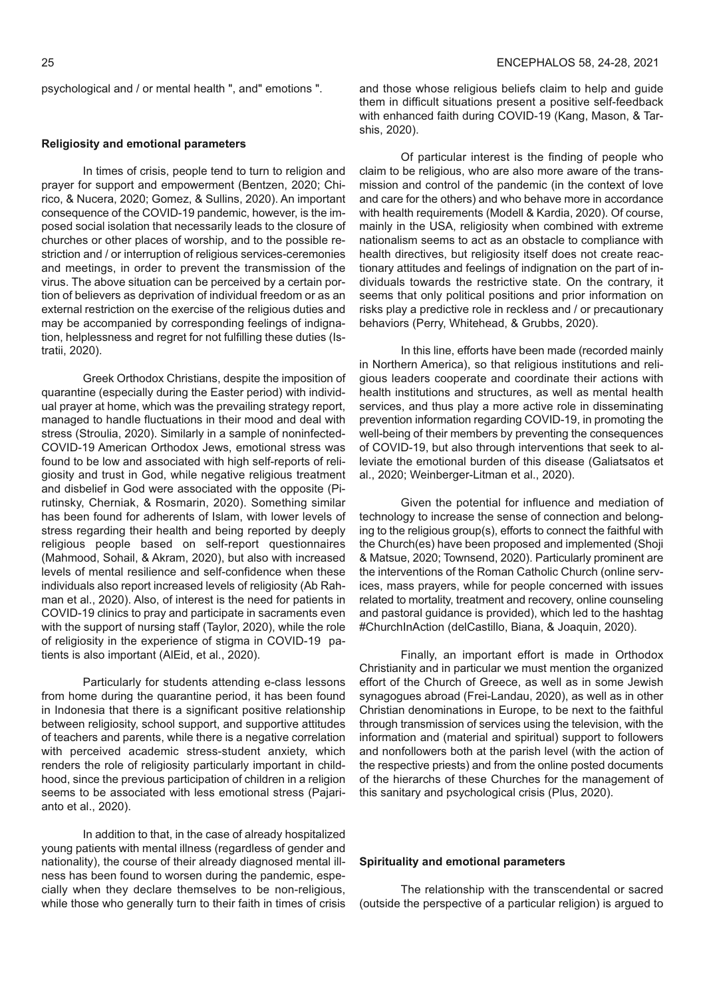psychological and / or mental health ", and" emotions ".

#### **Religiosity and emotional parameters**

In times of crisis, people tend to turn to religion and prayer for support and empowerment (Bentzen, 2020; Chirico, & Nucera, 2020; Gomez, & Sullins, 2020). An important consequence of the COVID-19 pandemic, however, is the imposed social isolation that necessarily leads to the closure of churches or other places of worship, and to the possible restriction and / or interruption of religious services-ceremonies and meetings, in order to prevent the transmission of the virus. The above situation can be perceived by a certain portion of believers as deprivation of individual freedom or as an external restriction on the exercise of the religious duties and may be accompanied by corresponding feelings of indignation, helplessness and regret for not fulfilling these duties (Istratii, 2020).

Greek Orthodox Christians, despite the imposition of quarantine (especially during the Easter period) with individual prayer at home, which was the prevailing strategy report, managed to handle fluctuations in their mood and deal with stress (Stroulia, 2020). Similarly in a sample of noninfected-COVID-19 American Orthodox Jews, emotional stress was found to be low and associated with high self-reports of religiosity and trust in God, while negative religious treatment and disbelief in God were associated with the opposite (Pirutinsky, Cherniak, & Rosmarin, 2020). Something similar has been found for adherents of Islam, with lower levels of stress regarding their health and being reported by deeply religious people based on self-report questionnaires (Mahmood, Sohail, & Akram, 2020), but also with increased levels of mental resilience and self-confidence when these individuals also report increased levels of religiosity (Ab Rahman et al., 2020). Also, of interest is the need for patients in COVID-19 clinics to pray and participate in sacraments even with the support of nursing staff (Taylor, 2020), while the role of religiosity in the experience of stigma in COVID-19 patients is also important (AlEid, et al., 2020).

Particularly for students attending e-class lessons from home during the quarantine period, it has been found in Indonesia that there is a significant positive relationship between religiosity, school support, and supportive attitudes of teachers and parents, while there is a negative correlation with perceived academic stress-student anxiety, which renders the role of religiosity particularly important in childhood, since the previous participation of children in a religion seems to be associated with less emotional stress (Pajarianto et al., 2020).

In addition to that, in the case of already hospitalized young patients with mental illness (regardless of gender and nationality), the course of their already diagnosed mental illness has been found to worsen during the pandemic, especially when they declare themselves to be non-religious, while those who generally turn to their faith in times of crisis and those whose religious beliefs claim to help and guide them in difficult situations present a positive self-feedback with enhanced faith during COVID-19 (Kang, Mason, & Tarshis, 2020).

Of particular interest is the finding of people who claim to be religious, who are also more aware of the transmission and control of the pandemic (in the context of love and care for the others) and who behave more in accordance with health requirements (Modell & Kardia, 2020). Of course, mainly in the USA, religiosity when combined with extreme nationalism seems to act as an obstacle to compliance with health directives, but religiosity itself does not create reactionary attitudes and feelings of indignation on the part of individuals towards the restrictive state. On the contrary, it seems that only political positions and prior information on risks play a predictive role in reckless and / or precautionary behaviors (Perry, Whitehead, & Grubbs, 2020).

In this line, efforts have been made (recorded mainly in Northern America), so that religious institutions and religious leaders cooperate and coordinate their actions with health institutions and structures, as well as mental health services, and thus play a more active role in disseminating prevention information regarding COVID-19, in promoting the well-being of their members by preventing the consequences of COVID-19, but also through interventions that seek to alleviate the emotional burden of this disease (Galiatsatos et al., 2020; Weinberger-Litman et al., 2020).

Given the potential for influence and mediation of technology to increase the sense of connection and belonging to the religious group(s), efforts to connect the faithful with the Church(es) have been proposed and implemented (Shoji & Matsue, 2020; Townsend, 2020). Particularly prominent are the interventions of the Roman Catholic Church (online services, mass prayers, while for people concerned with issues related to mortality, treatment and recovery, online counseling and pastoral guidance is provided), which led to the hashtag #ChurchInAction (delCastillo, Biana, & Joaquin, 2020).

Finally, an important effort is made in Orthodox Christianity and in particular we must mention the organized effort of the Church of Greece, as well as in some Jewish synagogues abroad (Frei-Landau, 2020), as well as in other Christian denominations in Europe, to be next to the faithful through transmission of services using the television, with the information and (material and spiritual) support to followers and nonfollowers both at the parish level (with the action of the respective priests) and from the online posted documents of the hierarchs of these Churches for the management of this sanitary and psychological crisis (Plus, 2020).

## **Spirituality and emotional parameters**

The relationship with the transcendental or sacred (outside the perspective of a particular religion) is argued to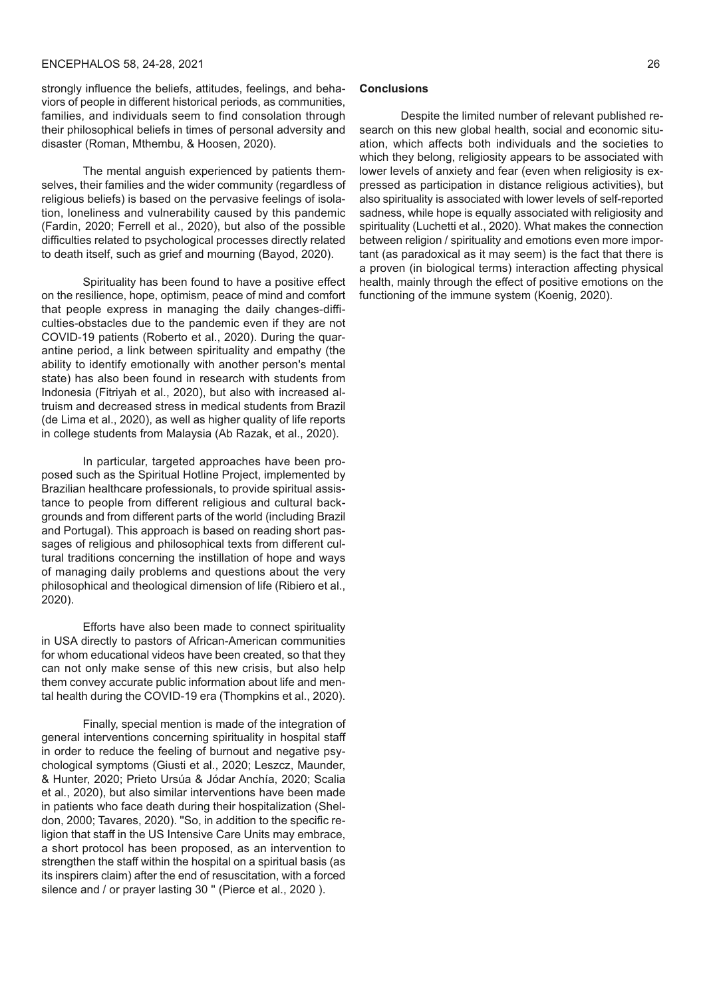# ENCEPHALOS 58, 24-28, 2021 26

strongly influence the beliefs, attitudes, feelings, and behaviors of people in different historical periods, as communities, families, and individuals seem to find consolation through their philosophical beliefs in times of personal adversity and disaster (Roman, Mthembu, & Hoosen, 2020).

The mental anguish experienced by patients themselves, their families and the wider community (regardless of religious beliefs) is based on the pervasive feelings of isolation, loneliness and vulnerability caused by this pandemic (Fardin, 2020; Ferrell et al., 2020), but also of the possible difficulties related to psychological processes directly related to death itself, such as grief and mourning (Bayod, 2020).

Spirituality has been found to have a positive effect on the resilience, hope, optimism, peace of mind and comfort that people express in managing the daily changes-difficulties-obstacles due to the pandemic even if they are not COVID-19 patients (Roberto et al., 2020). During the quarantine period, a link between spirituality and empathy (the ability to identify emotionally with another person's mental state) has also been found in research with students from Indonesia (Fitriyah et al., 2020), but also with increased altruism and decreased stress in medical students from Brazil (de Lima et al., 2020), as well as higher quality of life reports in college students from Malaysia (Ab Razak, et al., 2020).

In particular, targeted approaches have been proposed such as the Spiritual Hotline Project, implemented by Brazilian healthcare professionals, to provide spiritual assistance to people from different religious and cultural backgrounds and from different parts of the world (including Brazil and Portugal). This approach is based on reading short passages of religious and philosophical texts from different cultural traditions concerning the instillation of hope and ways of managing daily problems and questions about the very philosophical and theological dimension of life (Ribiero et al., 2020).

Efforts have also been made to connect spirituality in USA directly to pastors of African-American communities for whom educational videos have been created, so that they can not only make sense of this new crisis, but also help them convey accurate public information about life and mental health during the COVID-19 era (Thompkins et al., 2020).

Finally, special mention is made of the integration of general interventions concerning spirituality in hospital staff in order to reduce the feeling of burnout and negative psychological symptoms (Giusti et al., 2020; Leszcz, Maunder, & Hunter, 2020; Prieto Ursúa & Jódar Anchía, 2020; Scalia et al., 2020), but also similar interventions have been made in patients who face death during their hospitalization (Sheldon, 2000; Tavares, 2020). ''So, in addition to the specific religion that staff in the US Intensive Care Units may embrace, a short protocol has been proposed, as an intervention to strengthen the staff within the hospital on a spiritual basis (as its inspirers claim) after the end of resuscitation, with a forced silence and / or prayer lasting 30 " (Pierce et al., 2020).

#### **Conclusions**

Despite the limited number of relevant published research on this new global health, social and economic situation, which affects both individuals and the societies to which they belong, religiosity appears to be associated with lower levels of anxiety and fear (even when religiosity is expressed as participation in distance religious activities), but also spirituality is associated with lower levels of self-reported sadness, while hope is equally associated with religiosity and spirituality (Luchetti et al., 2020). What makes the connection between religion / spirituality and emotions even more important (as paradoxical as it may seem) is the fact that there is a proven (in biological terms) interaction affecting physical health, mainly through the effect of positive emotions on the functioning of the immune system (Koenig, 2020).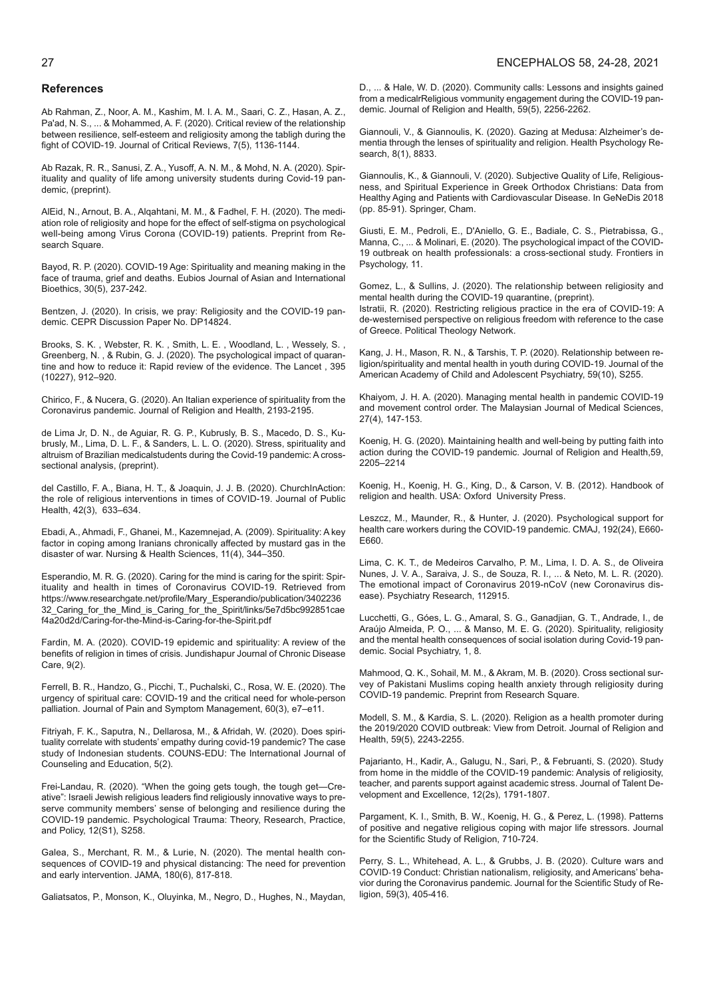#### 27 ENCEPHALOS 58, 24-28, 2021

#### **References**

Ab Rahman, Z., Noor, A. M., Kashim, M. I. A. M., Saari, C. Z., Hasan, A. Z., Pa'ad, N. S., ... & Mohammed, A. F. (2020). Critical review of the relationship between resilience, self-esteem and religiosity among the tabligh during the fight of COVID-19. Journal of Critical Reviews, 7(5), 1136-1144.

Ab Razak, R. R., Sanusi, Z. A., Yusoff, A. N. M., & Mohd, N. A. (2020). Spirituality and quality of life among university students during Covid-19 pandemic, (preprint).

AlEid, N., Arnout, B. A., Alqahtani, M. M., & Fadhel, F. H. (2020). The mediation role of religiosity and hope for the effect of self-stigma on psychological well-being among Virus Corona (COVID-19) patients. Preprint from Research Square.

Bayod, R. P. (2020). COVID-19 Age: Spirituality and meaning making in the face of trauma, grief and deaths. Eubios Journal of Asian and International Bioethics, 30(5), 237-242.

Bentzen, J. (2020). In crisis, we pray: Religiosity and the COVID-19 pandemic. CEPR Discussion Paper No. DP14824.

Brooks, S. K. , Webster, R. K. , Smith, L. E. , Woodland, L. , Wessely, S. , Greenberg, N. , & Rubin, G. J. (2020). The psychological impact of quarantine and how to reduce it: Rapid review of the evidence. The Lancet , 395 (10227), 912–920.

Chirico, F., & Nucera, G. (2020). An Italian experience of spirituality from the Coronavirus pandemic. Journal of Religion and Health, 2193-2195.

de Lima Jr, D. N., de Aguiar, R. G. P., Kubrusly, B. S., Macedo, D. S., Kubrusly, M., Lima, D. L. F., & Sanders, L. L. O. (2020). Stress, spirituality and altruism of Brazilian medicalstudents during the Covid-19 pandemic: A crosssectional analysis, (preprint).

del Castillo, F. A., Biana, H. T., & Joaquin, J. J. B. (2020). ChurchInAction: the role of religious interventions in times of COVID-19. Journal of Public Health, 42(3), 633–634.

Ebadi, A., Ahmadi, F., Ghanei, M., Kazemnejad, A. (2009). Spirituality: A key factor in coping among Iranians chronically affected by mustard gas in the disaster of war. Nursing & Health Sciences, 11(4), 344–350.

Esperandio, M. R. G. (2020). Caring for the mind is caring for the spirit: Spirituality and health in times of Coronavirus COVID-19. Retrieved from https://www.researchgate.net/profile/Mary\_Esperandio/publication/3402236 32 Caring for the Mind is Caring for the Spirit/links/5e7d5bc992851cae f4a20d2d/Caring-for-the-Mind-is-Caring-for-the-Spirit.pdf

Fardin, M. A. (2020). COVID-19 epidemic and spirituality: A review of the benefits of religion in times of crisis. Jundishapur Journal of Chronic Disease Care, 9(2).

Ferrell, B. R., Handzo, G., Picchi, T., Puchalski, C., Rosa, W. E. (2020). The urgency of spiritual care: COVID-19 and the critical need for whole-person palliation. Journal of Pain and Symptom Management, 60(3), e7–e11.

Fitriyah, F. K., Saputra, N., Dellarosa, M., & Afridah, W. (2020). Does spirituality correlate with students' empathy during covid-19 pandemic? The case study of Indonesian students. COUNS-EDU: The International Journal of Counseling and Education, 5(2).

Frei-Landau, R. (2020). "When the going gets tough, the tough get—Creative": Israeli Jewish religious leaders find religiously innovative ways to preserve community members' sense of belonging and resilience during the COVID-19 pandemic. Psychological Trauma: Theory, Research, Practice, and Policy, 12(S1), S258.

Galea, S., Merchant, R. M., & Lurie, N. (2020). The mental health consequences of COVID-19 and physical distancing: The need for prevention and early intervention. JAMA, 180(6), 817-818.

Galiatsatos, P., Monson, K., Oluyinka, M., Negro, D., Hughes, N., Maydan,

D., ... & Hale, W. D. (2020). Community calls: Lessons and insights gained from a medicalrReligious vommunity engagement during the COVID-19 pandemic. Journal of Religion and Health, 59(5), 2256-2262.

Giannouli, V., & Giannoulis, K. (2020). Gazing at Medusa: Alzheimer's dementia through the lenses of spirituality and religion. Health Psychology Research, 8(1), 8833.

Giannoulis, K., & Giannouli, V. (2020). Subjective Quality of Life, Religiousness, and Spiritual Experience in Greek Orthodox Christians: Data from Healthy Aging and Patients with Cardiovascular Disease. In GeNeDis 2018 (pp. 85-91). Springer, Cham.

Giusti, E. M., Pedroli, E., D'Aniello, G. E., Badiale, C. S., Pietrabissa, G., Manna, C., ... & Molinari, E. (2020). The psychological impact of the COVID-19 outbreak on health professionals: a cross-sectional study. Frontiers in Psychology, 11.

Gomez, L., & Sullins, J. (2020). The relationship between religiosity and mental health during the COVID-19 quarantine, (preprint).

Istratii, R. (2020). Restricting religious practice in the era of COVID-19: A de-westernised perspective on religious freedom with reference to the case of Greece. Political Theology Network.

Kang, J. H., Mason, R. N., & Tarshis, T. P. (2020). Relationship between religion/spirituality and mental health in youth during COVID-19. Journal of the American Academy of Child and Adolescent Psychiatry, 59(10), S255.

Khaiyom, J. H. A. (2020). Managing mental health in pandemic COVID-19 and movement control order. The Malaysian Journal of Medical Sciences, 27(4), 147-153.

Koenig, H. G. (2020). Maintaining health and well-being by putting faith into action during the COVID-19 pandemic. Journal of Religion and Health,59, 2205–2214

Koenig, H., Koenig, H. G., King, D., & Carson, V. B. (2012). Handbook of religion and health. USA: Oxford University Press.

Leszcz, M., Maunder, R., & Hunter, J. (2020). Psychological support for health care workers during the COVID-19 pandemic. CMAJ, 192(24), E660- E660.

Lima, C. K. T., de Medeiros Carvalho, P. M., Lima, I. D. A. S., de Oliveira Nunes, J. V. A., Saraiva, J. S., de Souza, R. I., ... & Neto, M. L. R. (2020). The emotional impact of Coronavirus 2019-nCoV (new Coronavirus disease). Psychiatry Research, 112915.

Lucchetti, G., Góes, L. G., Amaral, S. G., Ganadjian, G. T., Andrade, I., de Araújo Almeida, P. O., ... & Manso, M. E. G. (2020). Spirituality, religiosity and the mental health consequences of social isolation during Covid-19 pandemic. Social Psychiatry, 1, 8.

Mahmood, Q. K., Sohail, M. M., & Akram, M. B. (2020). Cross sectional survey of Pakistani Muslims coping health anxiety through religiosity during COVID-19 pandemic. Preprint from Research Square.

Modell, S. M., & Kardia, S. L. (2020). Religion as a health promoter during the 2019/2020 COVID outbreak: View from Detroit. Journal of Religion and Health, 59(5), 2243-2255.

Pajarianto, H., Kadir, A., Galugu, N., Sari, P., & Februanti, S. (2020). Study from home in the middle of the COVID-19 pandemic: Analysis of religiosity, teacher, and parents support against academic stress. Journal of Talent Development and Excellence, 12(2s), 1791-1807.

Pargament, K. I., Smith, B. W., Koenig, H. G., & Perez, L. (1998). Patterns of positive and negative religious coping with major life stressors. Journal for the Scientific Study of Religion, 710-724.

Perry, S. L., Whitehead, A. L., & Grubbs, J. B. (2020). Culture wars and COVID‐19 Conduct: Christian nationalism, religiosity, and Americans' behavior during the Coronavirus pandemic. Journal for the Scientific Study of Religion, 59(3), 405-416.